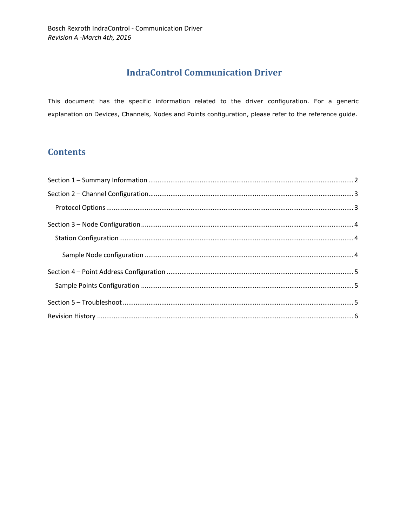# **IndraControl Communication Driver**

This document has the specific information related to the driver configuration. For a generic explanation on Devices, Channels, Nodes and Points configuration, please refer to the reference guide.

# **Contents**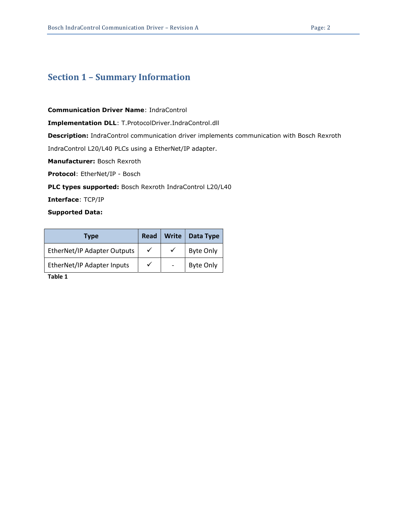### Section 1 – Summary Information

Communication Driver Name: IndraControl

Implementation DLL: T.ProtocolDriver.IndraControl.dll

**Description:** IndraControl communication driver implements communication with Bosch Rexroth

IndraControl L20/L40 PLCs using a EtherNet/IP adapter.

Manufacturer: Bosch Rexroth

Protocol: EtherNet/IP - Bosch

PLC types supported: Bosch Rexroth IndraControl L20/L40

Interface: TCP/IP

#### Supported Data:

| Type                        | Read         | Write                    | Data Type        |
|-----------------------------|--------------|--------------------------|------------------|
| EtherNet/IP Adapter Outputs | $\checkmark$ |                          | <b>Byte Only</b> |
| EtherNet/IP Adapter Inputs  | ✓            | $\overline{\phantom{a}}$ | <b>Byte Only</b> |

Table 1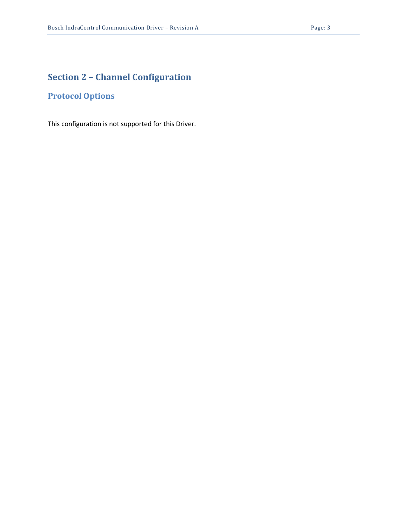# Section 2 – Channel Configuration

## Protocol Options

This configuration is not supported for this Driver.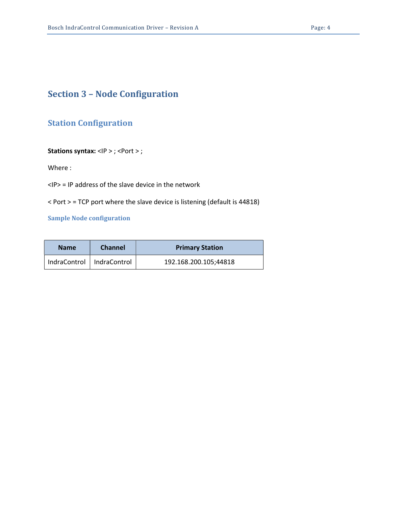# Section 3 – Node Configuration

### Station Configuration

#### Stations syntax: <IP > ; <Port > ;

Where :

<IP> = IP address of the slave device in the network

< Port > = TCP port where the slave device is listening (default is 44818)

#### Sample Node configuration

| <b>Name</b>                 | <b>Channel</b> | <b>Primary Station</b> |  |
|-----------------------------|----------------|------------------------|--|
| IndraControl   IndraControl |                | 192.168.200.105;44818  |  |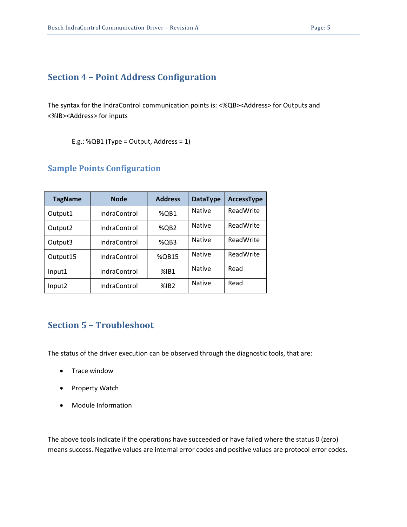### Section 4 – Point Address Configuration

The syntax for the IndraControl communication points is: <%QB><Address> for Outputs and <%IB><Address> for inputs

E.g.: %QB1 (Type = Output, Address =  $1$ )

#### Sample Points Configuration

| <b>TagName</b>      | <b>Node</b>  | <b>Address</b> | <b>DataType</b> | <b>AccessType</b> |
|---------------------|--------------|----------------|-----------------|-------------------|
| Output1             | IndraControl | %QB1           | <b>Native</b>   | ReadWrite         |
| Output <sub>2</sub> | IndraControl | %QB2           | <b>Native</b>   | ReadWrite         |
| Output3             | IndraControl | %QB3           | <b>Native</b>   | ReadWrite         |
| Output15            | IndraControl | %QB15          | <b>Native</b>   | ReadWrite         |
| Input1              | IndraControl | %IB1           | <b>Native</b>   | Read              |
| Input2              | IndraControl | %IB2           | <b>Native</b>   | Read              |

## Section 5 – Troubleshoot

The status of the driver execution can be observed through the diagnostic tools, that are:

- Trace window
- Property Watch
- Module Information

The above tools indicate if the operations have succeeded or have failed where the status 0 (zero) means success. Negative values are internal error codes and positive values are protocol error codes.